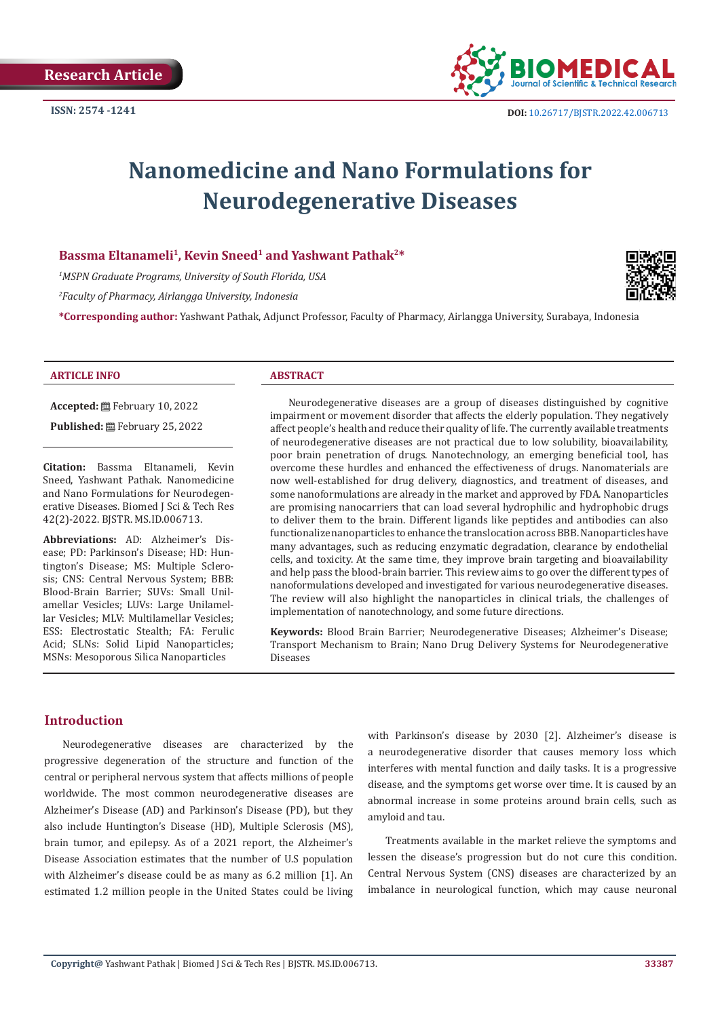

# **Nanomedicine and Nano Formulations for Neurodegenerative Diseases**

#### Bassma Eltanameli<sup>1</sup>, Kevin Sneed<sup>1</sup> and Yashwant Pathak<sup>2\*</sup>

*1 MSPN Graduate Programs, University of South Florida, USA*

*2 Faculty of Pharmacy, Airlangga University, Indonesia* 

**\*Corresponding author:** Yashwant Pathak, Adjunct Professor, Faculty of Pharmacy, Airlangga University, Surabaya, Indonesia



#### **ARTICLE INFO ABSTRACT**

**Accepted:** February 10, 2022

Published: 巴 February 25, 2022

**Citation:** Bassma Eltanameli, Kevin Sneed, Yashwant Pathak. Nanomedicine and Nano Formulations for Neurodegenerative Diseases. Biomed J Sci & Tech Res 42(2)-2022. BJSTR. MS.ID.006713.

**Abbreviations:** AD: Alzheimer's Disease; PD: Parkinson's Disease; HD: Huntington's Disease; MS: Multiple Sclerosis; CNS: Central Nervous System; BBB: Blood-Brain Barrier; SUVs: Small Unilamellar Vesicles; LUVs: Large Unilamellar Vesicles; MLV: Multilamellar Vesicles; ESS: Electrostatic Stealth; FA: Ferulic Acid; SLNs: Solid Lipid Nanoparticles; MSNs: Mesoporous Silica Nanoparticles

Neurodegenerative diseases are a group of diseases distinguished by cognitive impairment or movement disorder that affects the elderly population. They negatively affect people's health and reduce their quality of life. The currently available treatments of neurodegenerative diseases are not practical due to low solubility, bioavailability, poor brain penetration of drugs. Nanotechnology, an emerging beneficial tool, has overcome these hurdles and enhanced the effectiveness of drugs. Nanomaterials are now well-established for drug delivery, diagnostics, and treatment of diseases, and some nanoformulations are already in the market and approved by FDA. Nanoparticles are promising nanocarriers that can load several hydrophilic and hydrophobic drugs to deliver them to the brain. Different ligands like peptides and antibodies can also functionalize nanoparticles to enhance the translocation across BBB. Nanoparticles have many advantages, such as reducing enzymatic degradation, clearance by endothelial cells, and toxicity. At the same time, they improve brain targeting and bioavailability and help pass the blood-brain barrier. This review aims to go over the different types of nanoformulations developed and investigated for various neurodegenerative diseases. The review will also highlight the nanoparticles in clinical trials, the challenges of implementation of nanotechnology, and some future directions.

**Keywords:** Blood Brain Barrier; Neurodegenerative Diseases; Alzheimer's Disease; Transport Mechanism to Brain; Nano Drug Delivery Systems for Neurodegenerative Diseases

# **Introduction**

Neurodegenerative diseases are characterized by the progressive degeneration of the structure and function of the central or peripheral nervous system that affects millions of people worldwide. The most common neurodegenerative diseases are Alzheimer's Disease (AD) and Parkinson's Disease (PD), but they also include Huntington's Disease (HD), Multiple Sclerosis (MS), brain tumor, and epilepsy. As of a 2021 report, the Alzheimer's Disease Association estimates that the number of U.S population with Alzheimer's disease could be as many as 6.2 million [1]. An estimated 1.2 million people in the United States could be living with Parkinson's disease by 2030 [2]. Alzheimer's disease is a neurodegenerative disorder that causes memory loss which interferes with mental function and daily tasks. It is a progressive disease, and the symptoms get worse over time. It is caused by an abnormal increase in some proteins around brain cells, such as amyloid and tau.

Treatments available in the market relieve the symptoms and lessen the disease's progression but do not cure this condition. Central Nervous System (CNS) diseases are characterized by an imbalance in neurological function, which may cause neuronal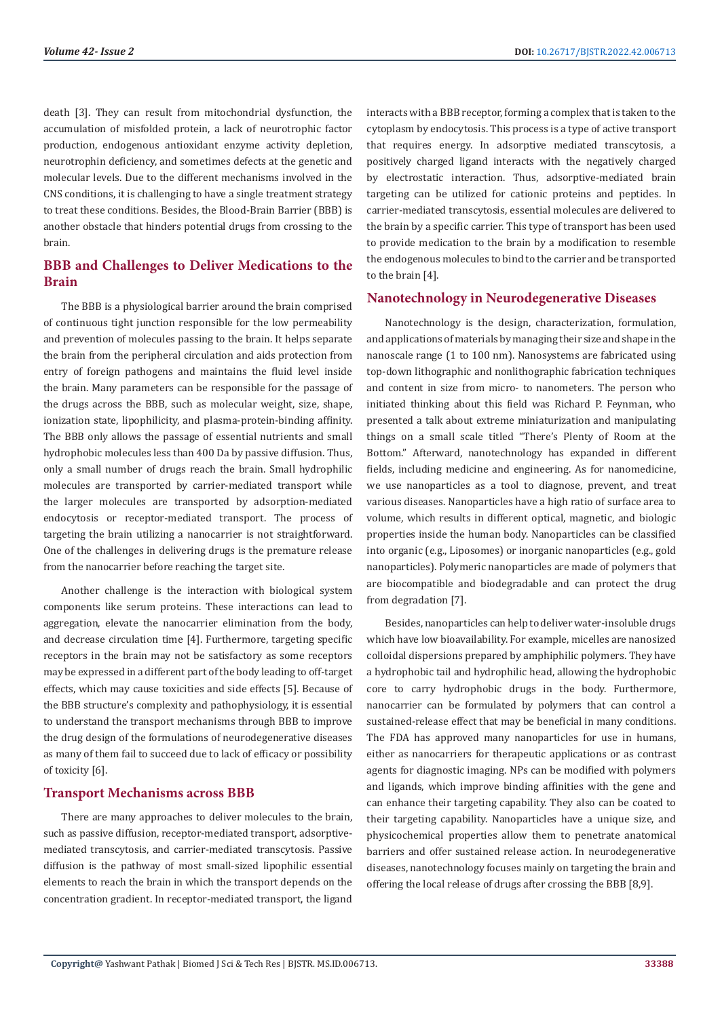death [3]. They can result from mitochondrial dysfunction, the accumulation of misfolded protein, a lack of neurotrophic factor production, endogenous antioxidant enzyme activity depletion, neurotrophin deficiency, and sometimes defects at the genetic and molecular levels. Due to the different mechanisms involved in the CNS conditions, it is challenging to have a single treatment strategy to treat these conditions. Besides, the Blood-Brain Barrier (BBB) is another obstacle that hinders potential drugs from crossing to the brain.

# **BBB and Challenges to Deliver Medications to the Brain**

The BBB is a physiological barrier around the brain comprised of continuous tight junction responsible for the low permeability and prevention of molecules passing to the brain. It helps separate the brain from the peripheral circulation and aids protection from entry of foreign pathogens and maintains the fluid level inside the brain. Many parameters can be responsible for the passage of the drugs across the BBB, such as molecular weight, size, shape, ionization state, lipophilicity, and plasma-protein-binding affinity. The BBB only allows the passage of essential nutrients and small hydrophobic molecules less than 400 Da by passive diffusion. Thus, only a small number of drugs reach the brain. Small hydrophilic molecules are transported by carrier-mediated transport while the larger molecules are transported by adsorption-mediated endocytosis or receptor-mediated transport. The process of targeting the brain utilizing a nanocarrier is not straightforward. One of the challenges in delivering drugs is the premature release from the nanocarrier before reaching the target site.

Another challenge is the interaction with biological system components like serum proteins. These interactions can lead to aggregation, elevate the nanocarrier elimination from the body, and decrease circulation time [4]. Furthermore, targeting specific receptors in the brain may not be satisfactory as some receptors may be expressed in a different part of the body leading to off-target effects, which may cause toxicities and side effects [5]. Because of the BBB structure's complexity and pathophysiology, it is essential to understand the transport mechanisms through BBB to improve the drug design of the formulations of neurodegenerative diseases as many of them fail to succeed due to lack of efficacy or possibility of toxicity [6].

# **Transport Mechanisms across BBB**

There are many approaches to deliver molecules to the brain, such as passive diffusion, receptor-mediated transport, adsorptivemediated transcytosis, and carrier-mediated transcytosis. Passive diffusion is the pathway of most small-sized lipophilic essential elements to reach the brain in which the transport depends on the concentration gradient. In receptor-mediated transport, the ligand

interacts with a BBB receptor, forming a complex that is taken to the cytoplasm by endocytosis. This process is a type of active transport that requires energy. In adsorptive mediated transcytosis, a positively charged ligand interacts with the negatively charged by electrostatic interaction. Thus, adsorptive-mediated brain targeting can be utilized for cationic proteins and peptides. In carrier-mediated transcytosis, essential molecules are delivered to the brain by a specific carrier. This type of transport has been used to provide medication to the brain by a modification to resemble the endogenous molecules to bind to the carrier and be transported to the brain [4].

# **Nanotechnology in Neurodegenerative Diseases**

Nanotechnology is the design, characterization, formulation, and applications of materials by managing their size and shape in the nanoscale range (1 to 100 nm). Nanosystems are fabricated using top-down lithographic and nonlithographic fabrication techniques and content in size from micro- to nanometers. The person who initiated thinking about this field was Richard P. Feynman, who presented a talk about extreme miniaturization and manipulating things on a small scale titled "There's Plenty of Room at the Bottom." Afterward, nanotechnology has expanded in different fields, including medicine and engineering. As for nanomedicine, we use nanoparticles as a tool to diagnose, prevent, and treat various diseases. Nanoparticles have a high ratio of surface area to volume, which results in different optical, magnetic, and biologic properties inside the human body. Nanoparticles can be classified into organic (e.g., Liposomes) or inorganic nanoparticles (e.g., gold nanoparticles). Polymeric nanoparticles are made of polymers that are biocompatible and biodegradable and can protect the drug from degradation [7].

Besides, nanoparticles can help to deliver water-insoluble drugs which have low bioavailability. For example, micelles are nanosized colloidal dispersions prepared by amphiphilic polymers. They have a hydrophobic tail and hydrophilic head, allowing the hydrophobic core to carry hydrophobic drugs in the body. Furthermore, nanocarrier can be formulated by polymers that can control a sustained-release effect that may be beneficial in many conditions. The FDA has approved many nanoparticles for use in humans, either as nanocarriers for therapeutic applications or as contrast agents for diagnostic imaging. NPs can be modified with polymers and ligands, which improve binding affinities with the gene and can enhance their targeting capability. They also can be coated to their targeting capability. Nanoparticles have a unique size, and physicochemical properties allow them to penetrate anatomical barriers and offer sustained release action. In neurodegenerative diseases, nanotechnology focuses mainly on targeting the brain and offering the local release of drugs after crossing the BBB [8,9].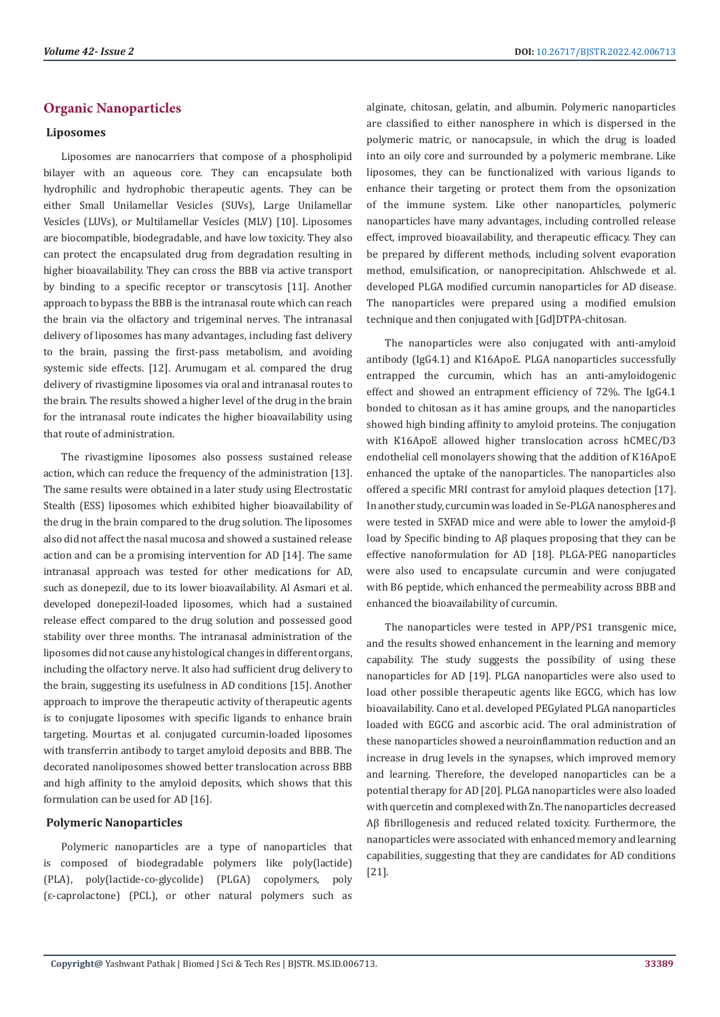# **Organic Nanoparticles**

### **Liposomes**

Liposomes are nanocarriers that compose of a phospholipid bilayer with an aqueous core. They can encapsulate both hydrophilic and hydrophobic therapeutic agents. They can be either Small Unilamellar Vesicles (SUVs), Large Unilamellar Vesicles (LUVs), or Multilamellar Vesicles (MLV) [10]. Liposomes are biocompatible, biodegradable, and have low toxicity. They also can protect the encapsulated drug from degradation resulting in higher bioavailability. They can cross the BBB via active transport by binding to a specific receptor or transcytosis [11]. Another approach to bypass the BBB is the intranasal route which can reach the brain via the olfactory and trigeminal nerves. The intranasal delivery of liposomes has many advantages, including fast delivery to the brain, passing the first-pass metabolism, and avoiding systemic side effects. [12]. Arumugam et al. compared the drug delivery of rivastigmine liposomes via oral and intranasal routes to the brain. The results showed a higher level of the drug in the brain for the intranasal route indicates the higher bioavailability using that route of administration.

The rivastigmine liposomes also possess sustained release action, which can reduce the frequency of the administration [13]. The same results were obtained in a later study using Electrostatic Stealth (ESS) liposomes which exhibited higher bioavailability of the drug in the brain compared to the drug solution. The liposomes also did not affect the nasal mucosa and showed a sustained release action and can be a promising intervention for AD [14]. The same intranasal approach was tested for other medications for AD, such as donepezil, due to its lower bioavailability. Al Asmari et al. developed donepezil-loaded liposomes, which had a sustained release effect compared to the drug solution and possessed good stability over three months. The intranasal administration of the liposomes did not cause any histological changes in different organs, including the olfactory nerve. It also had sufficient drug delivery to the brain, suggesting its usefulness in AD conditions [15]. Another approach to improve the therapeutic activity of therapeutic agents is to conjugate liposomes with specific ligands to enhance brain targeting. Mourtas et al. conjugated curcumin-loaded liposomes with transferrin antibody to target amyloid deposits and BBB. The decorated nanoliposomes showed better translocation across BBB and high affinity to the amyloid deposits, which shows that this formulation can be used for AD [16].

# **Polymeric Nanoparticles**

Polymeric nanoparticles are a type of nanoparticles that is composed of biodegradable polymers like poly(lactide) (PLA), poly(lactide-co-glycolide) (PLGA) copolymers, poly (ɛ-caprolactone) (PCL), or other natural polymers such as

alginate, chitosan, gelatin, and albumin. Polymeric nanoparticles are classified to either nanosphere in which is dispersed in the polymeric matric, or nanocapsule, in which the drug is loaded into an oily core and surrounded by a polymeric membrane. Like liposomes, they can be functionalized with various ligands to enhance their targeting or protect them from the opsonization of the immune system. Like other nanoparticles, polymeric nanoparticles have many advantages, including controlled release effect, improved bioavailability, and therapeutic efficacy. They can be prepared by different methods, including solvent evaporation method, emulsification, or nanoprecipitation. Ahlschwede et al. developed PLGA modified curcumin nanoparticles for AD disease. The nanoparticles were prepared using a modified emulsion technique and then conjugated with [Gd]DTPA-chitosan.

The nanoparticles were also conjugated with anti-amyloid antibody (IgG4.1) and K16ApoE. PLGA nanoparticles successfully entrapped the curcumin, which has an anti-amyloidogenic effect and showed an entrapment efficiency of 72%. The IgG4.1 bonded to chitosan as it has amine groups, and the nanoparticles showed high binding affinity to amyloid proteins. The conjugation with K16ApoE allowed higher translocation across hCMEC/D3 endothelial cell monolayers showing that the addition of K16ApoE enhanced the uptake of the nanoparticles. The nanoparticles also offered a specific MRI contrast for amyloid plaques detection [17]. In another study, curcumin was loaded in Se-PLGA nanospheres and were tested in 5XFAD mice and were able to lower the amyloid-β load by Specific binding to Aβ plaques proposing that they can be effective nanoformulation for AD [18]. PLGA-PEG nanoparticles were also used to encapsulate curcumin and were conjugated with B6 peptide, which enhanced the permeability across BBB and enhanced the bioavailability of curcumin.

The nanoparticles were tested in APP/PS1 transgenic mice, and the results showed enhancement in the learning and memory capability. The study suggests the possibility of using these nanoparticles for AD [19]. PLGA nanoparticles were also used to load other possible therapeutic agents like EGCG, which has low bioavailability. Cano et al. developed PEGylated PLGA nanoparticles loaded with EGCG and ascorbic acid. The oral administration of these nanoparticles showed a neuroinflammation reduction and an increase in drug levels in the synapses, which improved memory and learning. Therefore, the developed nanoparticles can be a potential therapy for AD [20]. PLGA nanoparticles were also loaded with quercetin and complexed with Zn. The nanoparticles decreased Aβ fibrillogenesis and reduced related toxicity. Furthermore, the nanoparticles were associated with enhanced memory and learning capabilities, suggesting that they are candidates for AD conditions [21].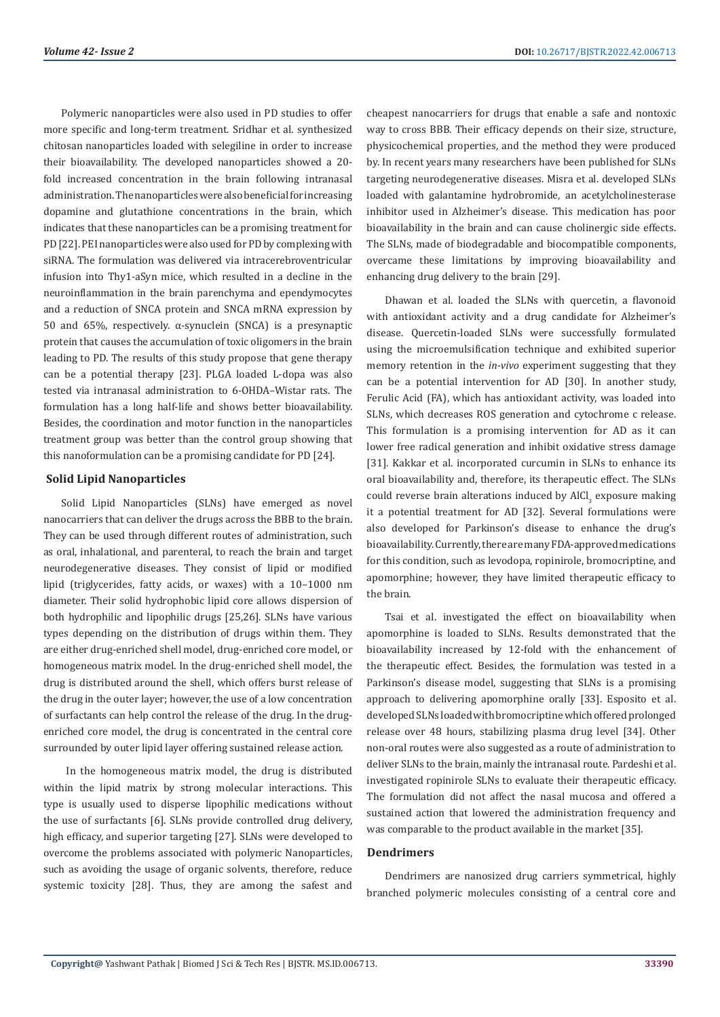Polymeric nanoparticles were also used in PD studies to offer more specific and long-term treatment. Sridhar et al. synthesized chitosan nanoparticles loaded with selegiline in order to increase their bioavailability. The developed nanoparticles showed a 20 fold increased concentration in the brain following intranasal administration. The nanoparticles were also beneficial for increasing dopamine and glutathione concentrations in the brain, which indicates that these nanoparticles can be a promising treatment for PD [22]. PEI nanoparticles were also used for PD by complexing with siRNA. The formulation was delivered via intracerebroventricular infusion into Thy1-aSyn mice, which resulted in a decline in the neuroinflammation in the brain parenchyma and ependymocytes and a reduction of SNCA protein and SNCA mRNA expression by 50 and 65%, respectively. α-synuclein (SNCA) is a presynaptic protein that causes the accumulation of toxic oligomers in the brain leading to PD. The results of this study propose that gene therapy can be a potential therapy [23]. PLGA loaded L-dopa was also tested via intranasal administration to 6-OHDA–Wistar rats. The formulation has a long half-life and shows better bioavailability. Besides, the coordination and motor function in the nanoparticles treatment group was better than the control group showing that this nanoformulation can be a promising candidate for PD [24].

### **Solid Lipid Nanoparticles**

Solid Lipid Nanoparticles (SLNs) have emerged as novel nanocarriers that can deliver the drugs across the BBB to the brain. They can be used through different routes of administration, such as oral, inhalational, and parenteral, to reach the brain and target neurodegenerative diseases. They consist of lipid or modified lipid (triglycerides, fatty acids, or waxes) with a 10–1000 nm diameter. Their solid hydrophobic lipid core allows dispersion of both hydrophilic and lipophilic drugs [25,26]. SLNs have various types depending on the distribution of drugs within them. They are either drug-enriched shell model, drug-enriched core model, or homogeneous matrix model. In the drug-enriched shell model, the drug is distributed around the shell, which offers burst release of the drug in the outer layer; however, the use of a low concentration of surfactants can help control the release of the drug. In the drugenriched core model, the drug is concentrated in the central core surrounded by outer lipid layer offering sustained release action.

 In the homogeneous matrix model, the drug is distributed within the lipid matrix by strong molecular interactions. This type is usually used to disperse lipophilic medications without the use of surfactants [6]. SLNs provide controlled drug delivery, high efficacy, and superior targeting [27]. SLNs were developed to overcome the problems associated with polymeric Nanoparticles, such as avoiding the usage of organic solvents, therefore, reduce systemic toxicity [28]. Thus, they are among the safest and

cheapest nanocarriers for drugs that enable a safe and nontoxic way to cross BBB. Their efficacy depends on their size, structure, physicochemical properties, and the method they were produced by. In recent years many researchers have been published for SLNs targeting neurodegenerative diseases. Misra et al. developed SLNs loaded with galantamine hydrobromide, an acetylcholinesterase inhibitor used in Alzheimer's disease. This medication has poor bioavailability in the brain and can cause cholinergic side effects. The SLNs, made of biodegradable and biocompatible components, overcame these limitations by improving bioavailability and enhancing drug delivery to the brain [29].

Dhawan et al. loaded the SLNs with quercetin, a flavonoid with antioxidant activity and a drug candidate for Alzheimer's disease. Quercetin-loaded SLNs were successfully formulated using the microemulsification technique and exhibited superior memory retention in the *in-vivo* experiment suggesting that they can be a potential intervention for AD [30]. In another study, Ferulic Acid (FA), which has antioxidant activity, was loaded into SLNs, which decreases ROS generation and cytochrome c release. This formulation is a promising intervention for AD as it can lower free radical generation and inhibit oxidative stress damage [31]. Kakkar et al. incorporated curcumin in SLNs to enhance its oral bioavailability and, therefore, its therapeutic effect. The SLNs could reverse brain alterations induced by  $AICI_3$  exposure making it a potential treatment for AD [32]. Several formulations were also developed for Parkinson's disease to enhance the drug's bioavailability. Currently, there are many FDA-approved medications for this condition, such as levodopa, ropinirole, bromocriptine, and apomorphine; however, they have limited therapeutic efficacy to the brain.

Tsai et al. investigated the effect on bioavailability when apomorphine is loaded to SLNs. Results demonstrated that the bioavailability increased by 12-fold with the enhancement of the therapeutic effect. Besides, the formulation was tested in a Parkinson's disease model, suggesting that SLNs is a promising approach to delivering apomorphine orally [33]. Esposito et al. developed SLNs loaded with bromocriptine which offered prolonged release over 48 hours, stabilizing plasma drug level [34]. Other non-oral routes were also suggested as a route of administration to deliver SLNs to the brain, mainly the intranasal route. Pardeshi et al. investigated ropinirole SLNs to evaluate their therapeutic efficacy. The formulation did not affect the nasal mucosa and offered a sustained action that lowered the administration frequency and was comparable to the product available in the market [35].

# **Dendrimers**

Dendrimers are nanosized drug carriers symmetrical, highly branched polymeric molecules consisting of a central core and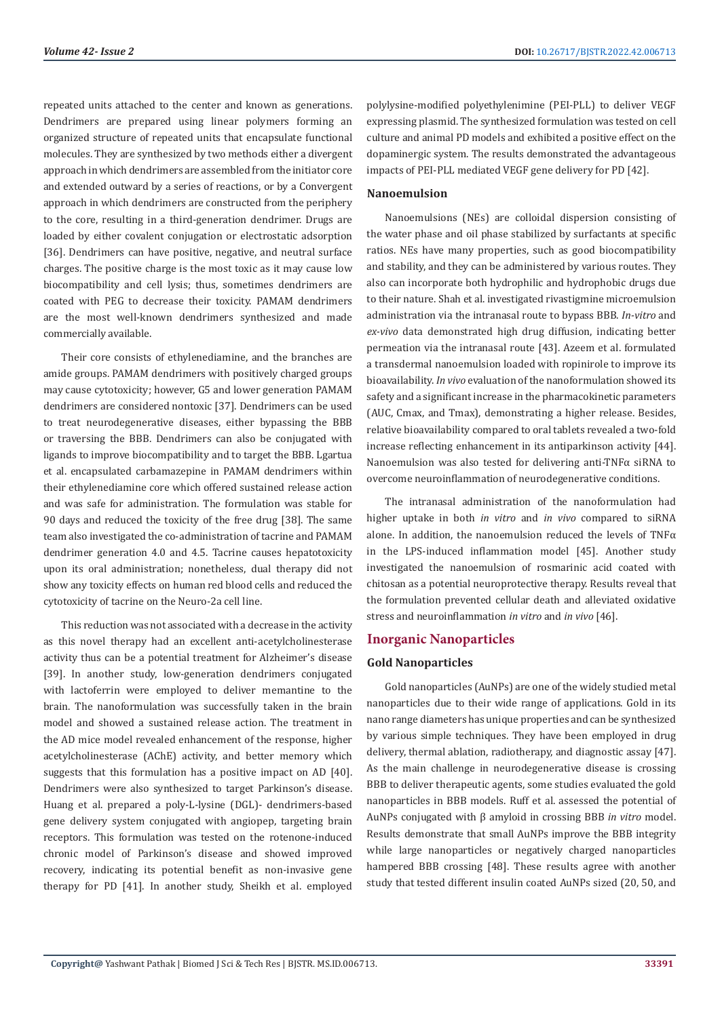repeated units attached to the center and known as generations. Dendrimers are prepared using linear polymers forming an organized structure of repeated units that encapsulate functional molecules. They are synthesized by two methods either a divergent approach in which dendrimers are assembled from the initiator core and extended outward by a series of reactions, or by a Convergent approach in which dendrimers are constructed from the periphery to the core, resulting in a third-generation dendrimer. Drugs are loaded by either covalent conjugation or electrostatic adsorption [36]. Dendrimers can have positive, negative, and neutral surface charges. The positive charge is the most toxic as it may cause low biocompatibility and cell lysis; thus, sometimes dendrimers are coated with PEG to decrease their toxicity. PAMAM dendrimers are the most well-known dendrimers synthesized and made commercially available.

Their core consists of ethylenediamine, and the branches are amide groups. PAMAM dendrimers with positively charged groups may cause cytotoxicity; however, G5 and lower generation PAMAM dendrimers are considered nontoxic [37]. Dendrimers can be used to treat neurodegenerative diseases, either bypassing the BBB or traversing the BBB. Dendrimers can also be conjugated with ligands to improve biocompatibility and to target the BBB. Lgartua et al. encapsulated carbamazepine in PAMAM dendrimers within their ethylenediamine core which offered sustained release action and was safe for administration. The formulation was stable for 90 days and reduced the toxicity of the free drug [38]. The same team also investigated the co-administration of tacrine and PAMAM dendrimer generation 4.0 and 4.5. Tacrine causes hepatotoxicity upon its oral administration; nonetheless, dual therapy did not show any toxicity effects on human red blood cells and reduced the cytotoxicity of tacrine on the Neuro-2a cell line.

This reduction was not associated with a decrease in the activity as this novel therapy had an excellent anti-acetylcholinesterase activity thus can be a potential treatment for Alzheimer's disease [39]. In another study, low-generation dendrimers conjugated with lactoferrin were employed to deliver memantine to the brain. The nanoformulation was successfully taken in the brain model and showed a sustained release action. The treatment in the AD mice model revealed enhancement of the response, higher acetylcholinesterase (AChE) activity, and better memory which suggests that this formulation has a positive impact on AD [40]. Dendrimers were also synthesized to target Parkinson's disease. Huang et al. prepared a poly-L-lysine (DGL)- dendrimers-based gene delivery system conjugated with angiopep, targeting brain receptors. This formulation was tested on the rotenone-induced chronic model of Parkinson's disease and showed improved recovery, indicating its potential benefit as non-invasive gene therapy for PD [41]. In another study, Sheikh et al. employed

polylysine-modified polyethylenimine (PEI-PLL) to deliver VEGF expressing plasmid. The synthesized formulation was tested on cell culture and animal PD models and exhibited a positive effect on the dopaminergic system. The results demonstrated the advantageous impacts of PEI-PLL mediated VEGF gene delivery for PD [42].

#### **Nanoemulsion**

Nanoemulsions (NEs) are colloidal dispersion consisting of the water phase and oil phase stabilized by surfactants at specific ratios. NEs have many properties, such as good biocompatibility and stability, and they can be administered by various routes. They also can incorporate both hydrophilic and hydrophobic drugs due to their nature. Shah et al. investigated rivastigmine microemulsion administration via the intranasal route to bypass BBB. *In-vitro* and *ex-vivo* data demonstrated high drug diffusion, indicating better permeation via the intranasal route [43]. Azeem et al. formulated a transdermal nanoemulsion loaded with ropinirole to improve its bioavailability. *In vivo* evaluation of the nanoformulation showed its safety and a significant increase in the pharmacokinetic parameters (AUC, Cmax, and Tmax), demonstrating a higher release. Besides, relative bioavailability compared to oral tablets revealed a two-fold increase reflecting enhancement in its antiparkinson activity [44]. Nanoemulsion was also tested for delivering anti-TNFα siRNA to overcome neuroinflammation of neurodegenerative conditions.

The intranasal administration of the nanoformulation had higher uptake in both *in vitro* and *in vivo* compared to siRNA alone. In addition, the nanoemulsion reduced the levels of  $TNF\alpha$ in the LPS-induced inflammation model [45]. Another study investigated the nanoemulsion of rosmarinic acid coated with chitosan as a potential neuroprotective therapy. Results reveal that the formulation prevented cellular death and alleviated oxidative stress and neuroinflammation *in vitro* and *in vivo* [46].

# **Inorganic Nanoparticles**

#### **Gold Nanoparticles**

Gold nanoparticles (AuNPs) are one of the widely studied metal nanoparticles due to their wide range of applications. Gold in its nano range diameters has unique properties and can be synthesized by various simple techniques. They have been employed in drug delivery, thermal ablation, radiotherapy, and diagnostic assay [47]. As the main challenge in neurodegenerative disease is crossing BBB to deliver therapeutic agents, some studies evaluated the gold nanoparticles in BBB models. Ruff et al. assessed the potential of AuNPs conjugated with β amyloid in crossing BBB *in vitro* model. Results demonstrate that small AuNPs improve the BBB integrity while large nanoparticles or negatively charged nanoparticles hampered BBB crossing [48]. These results agree with another study that tested different insulin coated AuNPs sized (20, 50, and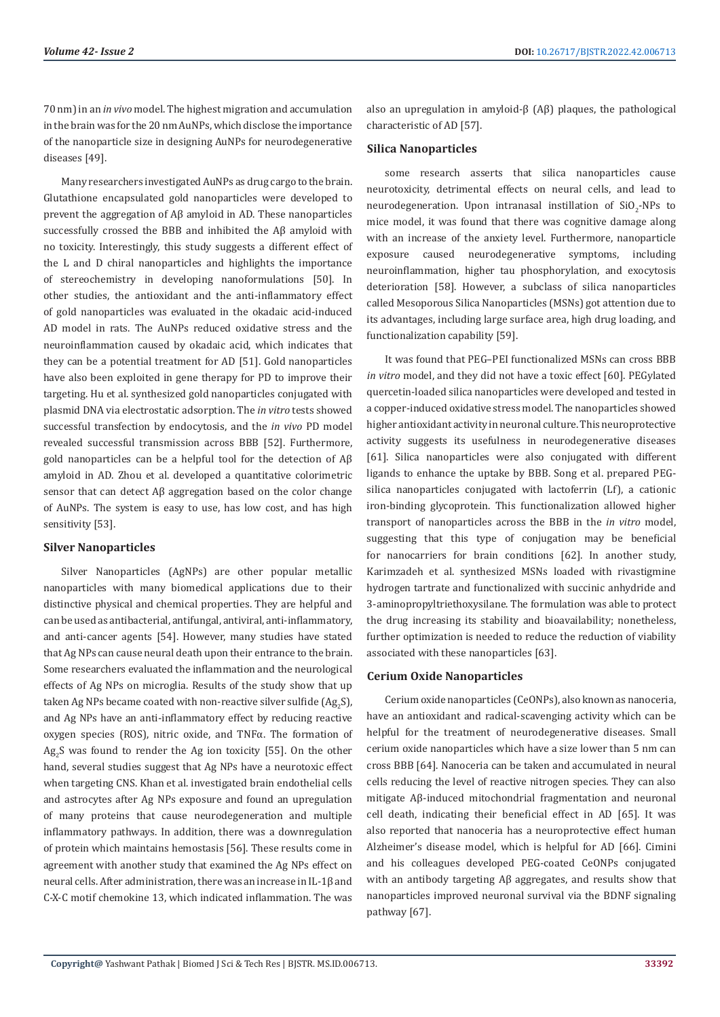70 nm) in an *in vivo* model. The highest migration and accumulation in the brain was for the 20 nm AuNPs, which disclose the importance of the nanoparticle size in designing AuNPs for neurodegenerative diseases [49].

Many researchers investigated AuNPs as drug cargo to the brain. Glutathione encapsulated gold nanoparticles were developed to prevent the aggregation of Aβ amyloid in AD. These nanoparticles successfully crossed the BBB and inhibited the Aβ amyloid with no toxicity. Interestingly, this study suggests a different effect of the L and D chiral nanoparticles and highlights the importance of stereochemistry in developing nanoformulations [50]. In other studies, the antioxidant and the anti-inflammatory effect of gold nanoparticles was evaluated in the okadaic acid-induced AD model in rats. The AuNPs reduced oxidative stress and the neuroinflammation caused by okadaic acid, which indicates that they can be a potential treatment for AD [51]. Gold nanoparticles have also been exploited in gene therapy for PD to improve their targeting. Hu et al. synthesized gold nanoparticles conjugated with plasmid DNA via electrostatic adsorption. The *in vitro* tests showed successful transfection by endocytosis, and the *in vivo* PD model revealed successful transmission across BBB [52]. Furthermore, gold nanoparticles can be a helpful tool for the detection of Aβ amyloid in AD. Zhou et al. developed a quantitative colorimetric sensor that can detect Aβ aggregation based on the color change of AuNPs. The system is easy to use, has low cost, and has high sensitivity [53].

#### **Silver Nanoparticles**

Silver Nanoparticles (AgNPs) are other popular metallic nanoparticles with many biomedical applications due to their distinctive physical and chemical properties. They are helpful and can be used as antibacterial, antifungal, antiviral, anti-inflammatory, and anti-cancer agents [54]. However, many studies have stated that Ag NPs can cause neural death upon their entrance to the brain. Some researchers evaluated the inflammation and the neurological effects of Ag NPs on microglia. Results of the study show that up taken Ag NPs became coated with non-reactive silver sulfide (Ag<sub>2</sub>S), and Ag NPs have an anti-inflammatory effect by reducing reactive oxygen species (ROS), nitric oxide, and TNFα. The formation of  $Ag_2S$  was found to render the Ag ion toxicity [55]. On the other hand, several studies suggest that Ag NPs have a neurotoxic effect when targeting CNS. Khan et al. investigated brain endothelial cells and astrocytes after Ag NPs exposure and found an upregulation of many proteins that cause neurodegeneration and multiple inflammatory pathways. In addition, there was a downregulation of protein which maintains hemostasis [56]. These results come in agreement with another study that examined the Ag NPs effect on neural cells. After administration, there was an increase in IL-1β and C-X-C motif chemokine 13, which indicated inflammation. The was

also an upregulation in amyloid-β (Aβ) plaques, the pathological characteristic of AD [57].

### **Silica Nanoparticles**

some research asserts that silica nanoparticles cause neurotoxicity, detrimental effects on neural cells, and lead to neurodegeneration. Upon intranasal instillation of  $\text{SiO}_2\text{-NPs}$  to mice model, it was found that there was cognitive damage along with an increase of the anxiety level. Furthermore, nanoparticle exposure caused neurodegenerative symptoms, including neuroinflammation, higher tau phosphorylation, and exocytosis deterioration [58]. However, a subclass of silica nanoparticles called Mesoporous Silica Nanoparticles (MSNs) got attention due to its advantages, including large surface area, high drug loading, and functionalization capability [59].

It was found that PEG–PEI functionalized MSNs can cross BBB *in vitro* model, and they did not have a toxic effect [60]. PEGylated quercetin-loaded silica nanoparticles were developed and tested in a copper-induced oxidative stress model. The nanoparticles showed higher antioxidant activity in neuronal culture. This neuroprotective activity suggests its usefulness in neurodegenerative diseases [61]. Silica nanoparticles were also conjugated with different ligands to enhance the uptake by BBB. Song et al. prepared PEGsilica nanoparticles conjugated with lactoferrin (Lf), a cationic iron-binding glycoprotein. This functionalization allowed higher transport of nanoparticles across the BBB in the *in vitro* model, suggesting that this type of conjugation may be beneficial for nanocarriers for brain conditions [62]. In another study, Karimzadeh et al. synthesized MSNs loaded with rivastigmine hydrogen tartrate and functionalized with succinic anhydride and 3-aminopropyltriethoxysilane. The formulation was able to protect the drug increasing its stability and bioavailability; nonetheless, further optimization is needed to reduce the reduction of viability associated with these nanoparticles [63].

#### **Cerium Oxide Nanoparticles**

Cerium oxide nanoparticles (CeONPs), also known as nanoceria, have an antioxidant and radical-scavenging activity which can be helpful for the treatment of neurodegenerative diseases. Small cerium oxide nanoparticles which have a size lower than 5 nm can cross BBB [64]. Nanoceria can be taken and accumulated in neural cells reducing the level of reactive nitrogen species. They can also mitigate Aβ-induced mitochondrial fragmentation and neuronal cell death, indicating their beneficial effect in AD [65]. It was also reported that nanoceria has a neuroprotective effect human Alzheimer's disease model, which is helpful for AD [66]. Cimini and his colleagues developed PEG-coated CeONPs conjugated with an antibody targeting Aβ aggregates, and results show that nanoparticles improved neuronal survival via the BDNF signaling pathway [67].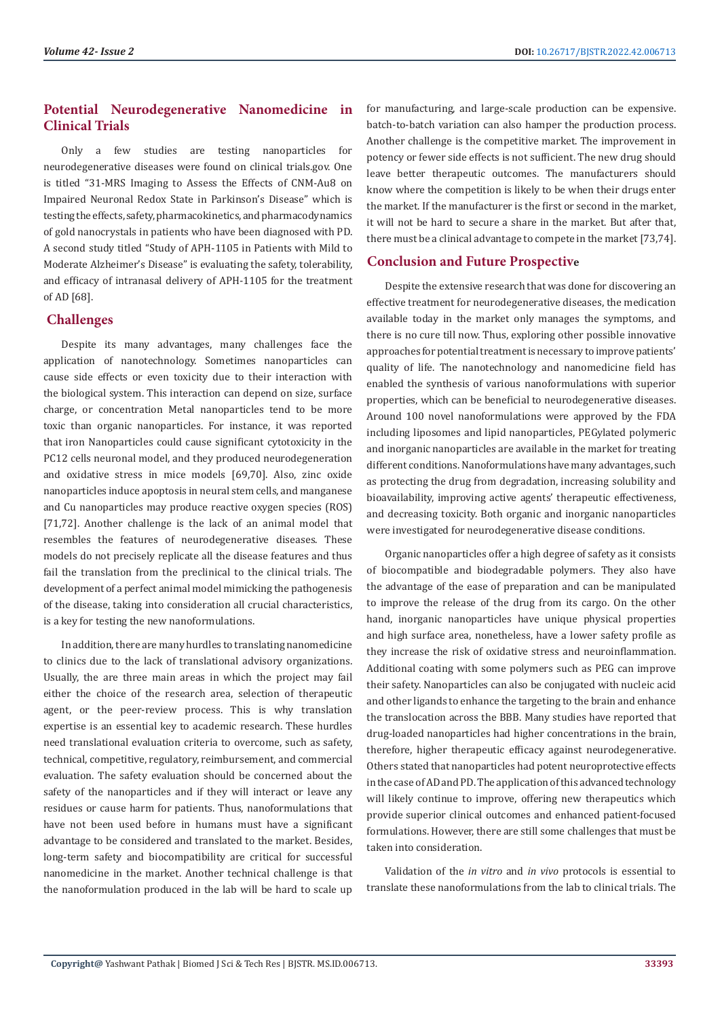# **Potential Neurodegenerative Nanomedicine in Clinical Trials**

Only a few studies are testing nanoparticles for neurodegenerative diseases were found on clinical trials.gov. One is titled "31-MRS Imaging to Assess the Effects of CNM-Au8 on Impaired Neuronal Redox State in Parkinson's Disease" which is testing the effects, safety, pharmacokinetics, and pharmacodynamics of gold nanocrystals in patients who have been diagnosed with PD. A second study titled "Study of APH-1105 in Patients with Mild to Moderate Alzheimer's Disease" is evaluating the safety, tolerability, and efficacy of intranasal delivery of APH-1105 for the treatment of AD [68].

# **Challenges**

Despite its many advantages, many challenges face the application of nanotechnology. Sometimes nanoparticles can cause side effects or even toxicity due to their interaction with the biological system. This interaction can depend on size, surface charge, or concentration Metal nanoparticles tend to be more toxic than organic nanoparticles. For instance, it was reported that iron Nanoparticles could cause significant cytotoxicity in the PC12 cells neuronal model, and they produced neurodegeneration and oxidative stress in mice models [69,70]. Also, zinc oxide nanoparticles induce apoptosis in neural stem cells, and manganese and Cu nanoparticles may produce reactive oxygen species (ROS) [71,72]. Another challenge is the lack of an animal model that resembles the features of neurodegenerative diseases. These models do not precisely replicate all the disease features and thus fail the translation from the preclinical to the clinical trials. The development of a perfect animal model mimicking the pathogenesis of the disease, taking into consideration all crucial characteristics, is a key for testing the new nanoformulations.

In addition, there are many hurdles to translating nanomedicine to clinics due to the lack of translational advisory organizations. Usually, the are three main areas in which the project may fail either the choice of the research area, selection of therapeutic agent, or the peer-review process. This is why translation expertise is an essential key to academic research. These hurdles need translational evaluation criteria to overcome, such as safety, technical, competitive, regulatory, reimbursement, and commercial evaluation. The safety evaluation should be concerned about the safety of the nanoparticles and if they will interact or leave any residues or cause harm for patients. Thus, nanoformulations that have not been used before in humans must have a significant advantage to be considered and translated to the market. Besides, long-term safety and biocompatibility are critical for successful nanomedicine in the market. Another technical challenge is that the nanoformulation produced in the lab will be hard to scale up

for manufacturing, and large-scale production can be expensive. batch-to-batch variation can also hamper the production process. Another challenge is the competitive market. The improvement in potency or fewer side effects is not sufficient. The new drug should leave better therapeutic outcomes. The manufacturers should know where the competition is likely to be when their drugs enter the market. If the manufacturer is the first or second in the market, it will not be hard to secure a share in the market. But after that, there must be a clinical advantage to compete in the market [73,74].

# **Conclusion and Future Prospective**

Despite the extensive research that was done for discovering an effective treatment for neurodegenerative diseases, the medication available today in the market only manages the symptoms, and there is no cure till now. Thus, exploring other possible innovative approaches for potential treatment is necessary to improve patients' quality of life. The nanotechnology and nanomedicine field has enabled the synthesis of various nanoformulations with superior properties, which can be beneficial to neurodegenerative diseases. Around 100 novel nanoformulations were approved by the FDA including liposomes and lipid nanoparticles, PEGylated polymeric and inorganic nanoparticles are available in the market for treating different conditions. Nanoformulations have many advantages, such as protecting the drug from degradation, increasing solubility and bioavailability, improving active agents' therapeutic effectiveness, and decreasing toxicity. Both organic and inorganic nanoparticles were investigated for neurodegenerative disease conditions.

Organic nanoparticles offer a high degree of safety as it consists of biocompatible and biodegradable polymers. They also have the advantage of the ease of preparation and can be manipulated to improve the release of the drug from its cargo. On the other hand, inorganic nanoparticles have unique physical properties and high surface area, nonetheless, have a lower safety profile as they increase the risk of oxidative stress and neuroinflammation. Additional coating with some polymers such as PEG can improve their safety. Nanoparticles can also be conjugated with nucleic acid and other ligands to enhance the targeting to the brain and enhance the translocation across the BBB. Many studies have reported that drug-loaded nanoparticles had higher concentrations in the brain, therefore, higher therapeutic efficacy against neurodegenerative. Others stated that nanoparticles had potent neuroprotective effects in the case of AD and PD. The application of this advanced technology will likely continue to improve, offering new therapeutics which provide superior clinical outcomes and enhanced patient-focused formulations. However, there are still some challenges that must be taken into consideration.

Validation of the *in vitro* and *in vivo* protocols is essential to translate these nanoformulations from the lab to clinical trials. The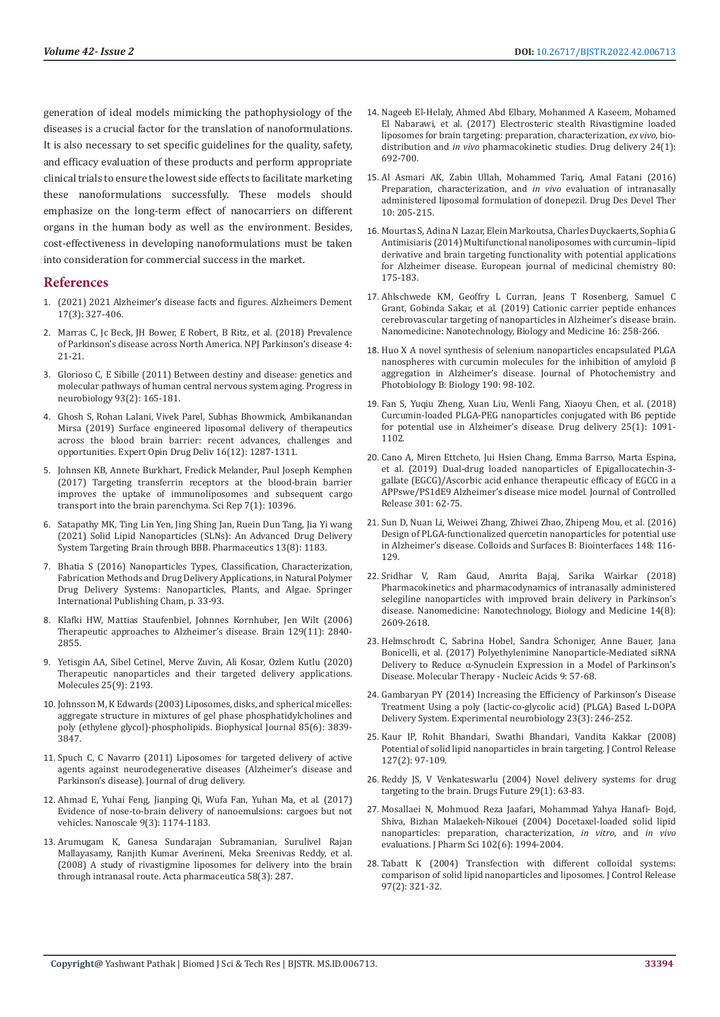generation of ideal models mimicking the pathophysiology of the diseases is a crucial factor for the translation of nanoformulations. It is also necessary to set specific guidelines for the quality, safety, and efficacy evaluation of these products and perform appropriate clinical trials to ensure the lowest side effects to facilitate marketing these nanoformulations successfully. These models should emphasize on the long-term effect of nanocarriers on different organs in the human body as well as the environment. Besides, cost-effectiveness in developing nanoformulations must be taken into consideration for commercial success in the market.

# **References**

- 1. [\(2021\) 2021 Alzheimer's disease facts and figures. Alzheimers Dement](https://www.alz.org/media/documents/alzheimers-facts-and-figures.pdf)  [17\(3\): 327-406.](https://www.alz.org/media/documents/alzheimers-facts-and-figures.pdf)
- 2. [Marras C, Jc Beck, JH Bower, E Robert, B Ritz, et al. \(2018\) Prevalence](https://www.nature.com/articles/s41531-018-0058-0)  [of Parkinson's disease across North America. NPJ Parkinson's disease 4:](https://www.nature.com/articles/s41531-018-0058-0)  [21-21.](https://www.nature.com/articles/s41531-018-0058-0)
- 3. [Glorioso C, E Sibille \(2011\) Between destiny and disease: genetics and](https://www.meta.org/papers/between-destiny-and-disease-genetics-and/21130140)  [molecular pathways of human central nervous system aging. Progress in](https://www.meta.org/papers/between-destiny-and-disease-genetics-and/21130140)  [neurobiology 93\(2\): 165-181.](https://www.meta.org/papers/between-destiny-and-disease-genetics-and/21130140)
- 4. [Ghosh S, Rohan Lalani, Vivek Parel, Subhas Bhowmick, Ambikanandan](https://pubmed.ncbi.nlm.nih.gov/31581844/)  [Mirsa \(2019\) Surface engineered liposomal delivery of therapeutics](https://pubmed.ncbi.nlm.nih.gov/31581844/)  [across the blood brain barrier: recent advances, challenges and](https://pubmed.ncbi.nlm.nih.gov/31581844/)  [opportunities. Expert Opin Drug Deliv 16\(12\): 1287-1311.](https://pubmed.ncbi.nlm.nih.gov/31581844/)
- 5. [Johnsen KB, Annete Burkhart, Fredick Melander, Paul Joseph Kemphen](https://www.nature.com/articles/s41598-017-11220-1)  [\(2017\) Targeting transferrin receptors at the blood-brain barrier](https://www.nature.com/articles/s41598-017-11220-1)  [improves the uptake of immunoliposomes and subsequent cargo](https://www.nature.com/articles/s41598-017-11220-1)  [transport into the brain parenchyma. Sci Rep 7\(1\): 10396.](https://www.nature.com/articles/s41598-017-11220-1)
- 6. Satapathy MK, Ting Lin Yen, Jing Shing Jan, Ruein Dun Tang, Jia Yi wang (2021) Solid Lipid Nanoparticles (SLNs): An Advanced Drug Delivery System Targeting Brain through BBB. Pharmaceutics 13(8): 1183.
- 7. [Bhatia S \(2016\) Nanoparticles Types, Classification, Characterization,](https://link.springer.com/chapter/10.1007/978-3-319-41129-3_2)  [Fabrication Methods and Drug Delivery Applications, in Natural Polymer](https://link.springer.com/chapter/10.1007/978-3-319-41129-3_2)  [Drug Delivery Systems: Nanoparticles, Plants, and Algae. Springer](https://link.springer.com/chapter/10.1007/978-3-319-41129-3_2)  [International Publishing Cham, p. 33-93.](https://link.springer.com/chapter/10.1007/978-3-319-41129-3_2)
- 8. [Klafki HW, Mattias Staufenbiel, Johnnes Kornhuber, Jen Wilt \(2006\)](https://academic.oup.com/brain/article/129/11/2840/295068)  [Therapeutic approaches to Alzheimer's disease. Brain 129\(11\): 2840-](https://academic.oup.com/brain/article/129/11/2840/295068) [2855.](https://academic.oup.com/brain/article/129/11/2840/295068)
- 9. [Yetisgin AA, Sibel Cetinel, Merve Zuvin, Ali Kosar, Ozlem Kutlu \(2020\)](https://pubmed.ncbi.nlm.nih.gov/32397080/)  [Therapeutic nanoparticles and their targeted delivery applications.](https://pubmed.ncbi.nlm.nih.gov/32397080/)  [Molecules 25\(9\): 2193.](https://pubmed.ncbi.nlm.nih.gov/32397080/)
- 10. [Johnsson M, K Edwards \(2003\) Liposomes, disks, and spherical micelles:](https://pubmed.ncbi.nlm.nih.gov/14645073/)  [aggregate structure in mixtures of gel phase phosphatidylcholines and](https://pubmed.ncbi.nlm.nih.gov/14645073/)  [poly \(ethylene glycol\)-phospholipids. Biophysical Journal 85\(6\): 3839-](https://pubmed.ncbi.nlm.nih.gov/14645073/) [3847.](https://pubmed.ncbi.nlm.nih.gov/14645073/)
- 11. [Spuch C, C Navarro \(2011\) Liposomes for targeted delivery of active](https://www.hindawi.com/journals/jdd/2011/469679/)  [agents against neurodegenerative diseases \(Alzheimer's disease and](https://www.hindawi.com/journals/jdd/2011/469679/)  [Parkinson's disease\). Journal of drug delivery.](https://www.hindawi.com/journals/jdd/2011/469679/)
- 12. [Ahmad E, Yuhai Feng, Jianping Qi, Wufa Fan, Yuhan Ma, et al. \(2017\)](https://pubmed.ncbi.nlm.nih.gov/28009915/)  [Evidence of nose-to-brain delivery of nanoemulsions: cargoes but not](https://pubmed.ncbi.nlm.nih.gov/28009915/)  [vehicles. Nanoscale 9\(3\): 1174-1183.](https://pubmed.ncbi.nlm.nih.gov/28009915/)
- 13. [Arumugam K, Ganesa Sundarajan Subramanian, Surulivel Rajan](https://pubmed.ncbi.nlm.nih.gov/19103565/)  [Mallayasamy, Ranjith Kumar Averineni, Meka Sreenivas Reddy, et al.](https://pubmed.ncbi.nlm.nih.gov/19103565/)  [\(2008\) A study of rivastigmine liposomes for delivery into the brain](https://pubmed.ncbi.nlm.nih.gov/19103565/)  [through intranasal route. Acta pharmaceutica 58\(3\): 287.](https://pubmed.ncbi.nlm.nih.gov/19103565/)
- 14. [Nageeb El-Helaly, Ahmed Abd Elbary, Mohanmed A Kaseem, Mohamed](https://pubmed.ncbi.nlm.nih.gov/28415883/) [El Nabarawi, et al. \(2017\) Electrosteric stealth Rivastigmine loaded](https://pubmed.ncbi.nlm.nih.gov/28415883/) [liposomes for brain targeting: preparation, characterization,](https://pubmed.ncbi.nlm.nih.gov/28415883/) *ex vivo*, biodistribution and *in vivo* [pharmacokinetic studies. Drug delivery 24\(1\):](https://pubmed.ncbi.nlm.nih.gov/28415883/) [692-700.](https://pubmed.ncbi.nlm.nih.gov/28415883/)
- 15. [Al Asmari AK, Zabin Ullah, Mohammed Tariq, Amal Fatani \(2016\)](https://pubmed.ncbi.nlm.nih.gov/26834457/) [Preparation, characterization, and](https://pubmed.ncbi.nlm.nih.gov/26834457/) *in vivo* evaluation of intranasally [administered liposomal formulation of donepezil. Drug Des Devel Ther](https://pubmed.ncbi.nlm.nih.gov/26834457/) [10: 205-215.](https://pubmed.ncbi.nlm.nih.gov/26834457/)
- 16. [Mourtas S, Adina N Lazar, Elein Markoutsa, Charles Duyckaerts, Sophia G](https://pubmed.ncbi.nlm.nih.gov/24780594/) [Antimisiaris \(2014\) Multifunctional nanoliposomes with curcumin–lipid](https://pubmed.ncbi.nlm.nih.gov/24780594/) [derivative and brain targeting functionality with potential applications](https://pubmed.ncbi.nlm.nih.gov/24780594/) [for Alzheimer disease. European journal of medicinal chemistry 80:](https://pubmed.ncbi.nlm.nih.gov/24780594/) [175-183.](https://pubmed.ncbi.nlm.nih.gov/24780594/)
- 17. [Ahlschwede KM, Geoffry L Curran, Jeans T Rosenberg, Samuel C](https://pubmed.ncbi.nlm.nih.gov/30300748/) [Grant, Gobinda Sakar, et al. \(2019\) Cationic carrier peptide enhances](https://pubmed.ncbi.nlm.nih.gov/30300748/) [cerebrovascular targeting of nanoparticles in Alzheimer's disease brain.](https://pubmed.ncbi.nlm.nih.gov/30300748/) [Nanomedicine: Nanotechnology, Biology and Medicine 16: 258-266.](https://pubmed.ncbi.nlm.nih.gov/30300748/)
- 18. [Huo X A novel synthesis of selenium nanoparticles encapsulated PLGA](https://www.researchgate.net/publication/328974260_A_novel_synthesis_of_selenium_nanoparticles_encapsulated_PLGA_nanospheres_with_curcumin_molecules_for_the_inhibition_of_amyloid_b_aggregation_in_Alzheimer) [nanospheres with curcumin molecules for the inhibition of amyloid β](https://www.researchgate.net/publication/328974260_A_novel_synthesis_of_selenium_nanoparticles_encapsulated_PLGA_nanospheres_with_curcumin_molecules_for_the_inhibition_of_amyloid_b_aggregation_in_Alzheimer) [aggregation in Alzheimer's disease. Journal of Photochemistry and](https://www.researchgate.net/publication/328974260_A_novel_synthesis_of_selenium_nanoparticles_encapsulated_PLGA_nanospheres_with_curcumin_molecules_for_the_inhibition_of_amyloid_b_aggregation_in_Alzheimer) [Photobiology B: Biology 190: 98-102.](https://www.researchgate.net/publication/328974260_A_novel_synthesis_of_selenium_nanoparticles_encapsulated_PLGA_nanospheres_with_curcumin_molecules_for_the_inhibition_of_amyloid_b_aggregation_in_Alzheimer)
- 19. [Fan S, Yuqiu Zheng, Xuan Liu, Wenli Fang, Xiaoyu Chen, et al. \(2018\)](https://pubmed.ncbi.nlm.nih.gov/30107760/) [Curcumin-loaded PLGA-PEG nanoparticles conjugated with B6 peptide](https://pubmed.ncbi.nlm.nih.gov/30107760/) [for potential use in Alzheimer's disease. Drug delivery 25\(1\): 1091-](https://pubmed.ncbi.nlm.nih.gov/30107760/) [1102.](https://pubmed.ncbi.nlm.nih.gov/30107760/)
- 20. [Cano A, Miren Ettcheto, Jui Hsien Chang, Emma Barrso, Marta Espina,](https://pubmed.ncbi.nlm.nih.gov/30876953/) [et al. \(2019\) Dual-drug loaded nanoparticles of Epigallocatechin-3](https://pubmed.ncbi.nlm.nih.gov/30876953/) [gallate \(EGCG\)/Ascorbic acid enhance therapeutic efficacy of EGCG in a](https://pubmed.ncbi.nlm.nih.gov/30876953/) [APPswe/PS1dE9 Alzheimer's disease mice model. Journal of Controlled](https://pubmed.ncbi.nlm.nih.gov/30876953/) [Release 301: 62-75.](https://pubmed.ncbi.nlm.nih.gov/30876953/)
- 21. [Sun D, Nuan Li, Weiwei Zhang, Zhiwei Zhao, Zhipeng Mou, et al. \(2016\)](https://pubmed.ncbi.nlm.nih.gov/27591943/) [Design of PLGA-functionalized quercetin nanoparticles for potential use](https://pubmed.ncbi.nlm.nih.gov/27591943/) [in Alzheimer's disease. Colloids and Surfaces B: Biointerfaces 148: 116-](https://pubmed.ncbi.nlm.nih.gov/27591943/) [129.](https://pubmed.ncbi.nlm.nih.gov/27591943/)
- 22. [Sridhar V, Ram Gaud, Amrita Bajaj, Sarika Wairkar \(2018\)](https://pubmed.ncbi.nlm.nih.gov/30171904/) [Pharmacokinetics and pharmacodynamics of intranasally administered](https://pubmed.ncbi.nlm.nih.gov/30171904/) [selegiline nanoparticles with improved brain delivery in Parkinson's](https://pubmed.ncbi.nlm.nih.gov/30171904/) [disease. Nanomedicine: Nanotechnology, Biology and Medicine 14\(8\):](https://pubmed.ncbi.nlm.nih.gov/30171904/) [2609-2618.](https://pubmed.ncbi.nlm.nih.gov/30171904/)
- 23. [Helmschrodt C, Sabrina Hobel, Sandra Schoniger, Anne Bauer, Jana](https://www.ncbi.nlm.nih.gov/labs/pmc/articles/PMC5602522/) [Bonicelli, et al. \(2017\) Polyethylenimine Nanoparticle-Mediated siRNA](https://www.ncbi.nlm.nih.gov/labs/pmc/articles/PMC5602522/) [Delivery to Reduce α-Synuclein Expression in a Model of Parkinson's](https://www.ncbi.nlm.nih.gov/labs/pmc/articles/PMC5602522/) [Disease. Molecular Therapy - Nucleic Acids 9: 57-68.](https://www.ncbi.nlm.nih.gov/labs/pmc/articles/PMC5602522/)
- 24. Gambaryan PY (2014) Increasing the Efficiency of Parkinson's Disease Treatment Using a poly (lactic-co-glycolic acid) (PLGA) Based L-DOPA Delivery System. Experimental neurobiology 23(3): 246-252.
- 25. [Kaur IP, Rohit Bhandari, Swathi Bhandari, Vandita Kakkar \(2008\)](https://pubmed.ncbi.nlm.nih.gov/18313785/) [Potential of solid lipid nanoparticles in brain targeting. J Control Release](https://pubmed.ncbi.nlm.nih.gov/18313785/) [127\(2\): 97-109.](https://pubmed.ncbi.nlm.nih.gov/18313785/)
- 26. [Reddy JS, V Venkateswarlu \(2004\) Novel delivery systems for drug](https://www.researchgate.net/publication/247829523_Novel_delivery_systems_fro_drug_targeting_to_the_brain) [targeting to the brain. Drugs Future 29\(1\): 63-83.](https://www.researchgate.net/publication/247829523_Novel_delivery_systems_fro_drug_targeting_to_the_brain)
- 27. [Mosallaei N, Mohmuod Reza Jaafari, Mohammad Yahya Hanafi- Bojd,](https://pubmed.ncbi.nlm.nih.gov/23558514/) [Shiva, Bizhan Malaekeh-Nikouei \(2004\) Docetaxel-loaded solid lipid](https://pubmed.ncbi.nlm.nih.gov/23558514/) [nanoparticles: preparation, characterization,](https://pubmed.ncbi.nlm.nih.gov/23558514/) *in vitro*, and *in vivo*  [evaluations. J Pharm Sci 102\(6\): 1994-2004.](https://pubmed.ncbi.nlm.nih.gov/23558514/)
- 28. Tabatt K (2004) Transfection with different colloidal systems: comparison of solid lipid nanoparticles and liposomes. J Control Release 97(2): 321-32.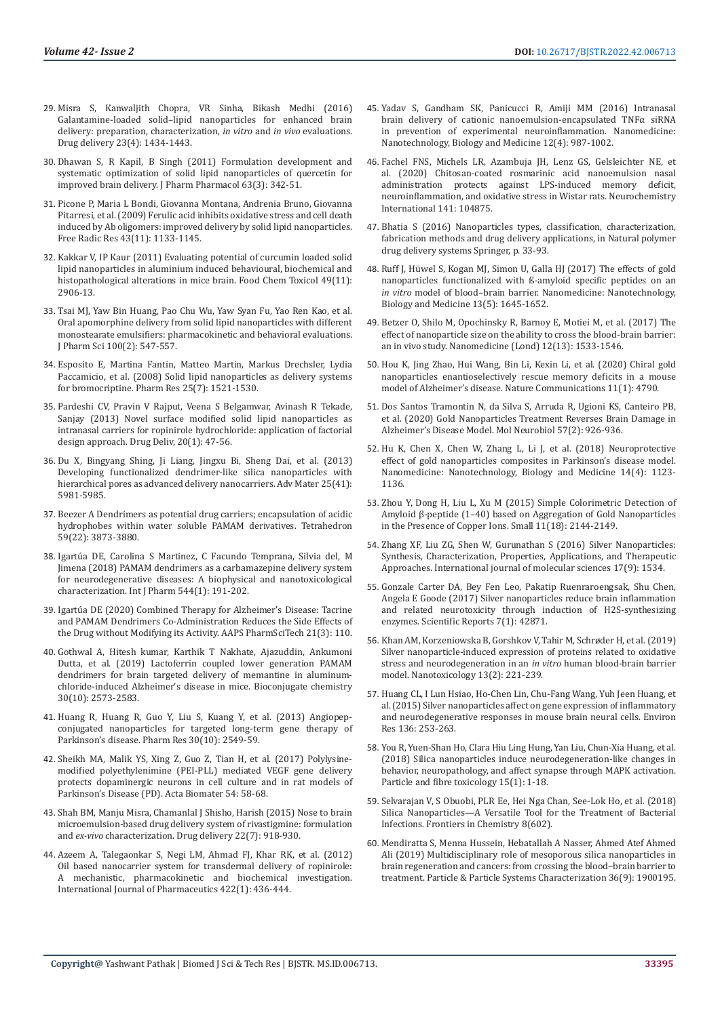- 29. [Misra S, Kanwaljith Chopra, VR Sinha, Bikash Medhi \(2016\)](https://pubmed.ncbi.nlm.nih.gov/26405825/)  [Galantamine-loaded solid–lipid nanoparticles for enhanced brain](https://pubmed.ncbi.nlm.nih.gov/26405825/)  [delivery: preparation, characterization,](https://pubmed.ncbi.nlm.nih.gov/26405825/) *in vitro* and *in vivo* evaluations. [Drug delivery 23\(4\): 1434-1443.](https://pubmed.ncbi.nlm.nih.gov/26405825/)
- 30. [Dhawan S, R Kapil, B Singh \(2011\) Formulation development and](https://pubmed.ncbi.nlm.nih.gov/21749381/)  [systematic optimization of solid lipid nanoparticles of quercetin for](https://pubmed.ncbi.nlm.nih.gov/21749381/)  [improved brain delivery. J Pharm Pharmacol 63\(3\): 342-51.](https://pubmed.ncbi.nlm.nih.gov/21749381/)
- 31. [Picone P, Maria L Bondi, Giovanna Montana, Andrenia Bruno, Giovanna](https://pubmed.ncbi.nlm.nih.gov/19863373/)  [Pitarresi, et al. \(2009\) Ferulic acid inhibits oxidative stress and cell death](https://pubmed.ncbi.nlm.nih.gov/19863373/)  [induced by Ab oligomers: improved delivery by solid lipid nanoparticles.](https://pubmed.ncbi.nlm.nih.gov/19863373/)  [Free Radic Res 43\(11\): 1133-1145.](https://pubmed.ncbi.nlm.nih.gov/19863373/)
- 32. Kakkar V, IP Kaur (2011) Evaluating potential of curcumin loaded solid lipid nanoparticles in aluminium induced behavioural, biochemical and histopathological alterations in mice brain. Food Chem Toxicol 49(11): 2906-13.
- 33. [Tsai MJ, Yaw Bin Huang, Pao Chu Wu, Yaw Syan Fu, Yao Ren Kao, et al.](https://pubmed.ncbi.nlm.nih.gov/20740670/)  [Oral apomorphine delivery from solid lipid nanoparticles with different](https://pubmed.ncbi.nlm.nih.gov/20740670/)  [monostearate emulsifiers: pharmacokinetic and behavioral evaluations.](https://pubmed.ncbi.nlm.nih.gov/20740670/)  [J Pharm Sci 100\(2\): 547-557.](https://pubmed.ncbi.nlm.nih.gov/20740670/)
- 34. Esposito E, Martina Fantin, Matteo Martin, Markus Drechsler, Lydia Paccamicio, et al. (2008) Solid lipid nanoparticles as delivery systems for bromocriptine. Pharm Res 25(7): 1521-1530.
- 35. [Pardeshi CV, Pravin V Rajput, Veena S Belgamwar, Avinash R Tekade,](https://pubmed.ncbi.nlm.nih.gov/23311653/)  [Sanjay \(2013\) Novel surface modified solid lipid nanoparticles as](https://pubmed.ncbi.nlm.nih.gov/23311653/)  [intranasal carriers for ropinirole hydrochloride: application of factorial](https://pubmed.ncbi.nlm.nih.gov/23311653/)  [design approach. Drug Deliv, 20\(1\): 47-56.](https://pubmed.ncbi.nlm.nih.gov/23311653/)
- 36. [Du X, Bingyang Shing, Ji Liang, Jingxu Bi, Sheng Dai, et al. \(2013\)](https://pubmed.ncbi.nlm.nih.gov/23955990/)  [Developing functionalized dendrimer-like silica nanoparticles with](https://pubmed.ncbi.nlm.nih.gov/23955990/)  [hierarchical pores as advanced delivery nanocarriers. Adv Mater 25\(41\):](https://pubmed.ncbi.nlm.nih.gov/23955990/)  [5981-5985.](https://pubmed.ncbi.nlm.nih.gov/23955990/)
- 37. [Beezer A Dendrimers as potential drug carriers; encapsulation of acidic](https://www.semanticscholar.org/paper/Dendrimers-as-potential-drug-carriers%3B-of-acidic-Beezer-King/11a4639dfa25242a1efd7b5b0473071018f5b626)  [hydrophobes within water soluble PAMAM derivatives. Tetrahedron](https://www.semanticscholar.org/paper/Dendrimers-as-potential-drug-carriers%3B-of-acidic-Beezer-King/11a4639dfa25242a1efd7b5b0473071018f5b626)  [59\(22\): 3873-3880.](https://www.semanticscholar.org/paper/Dendrimers-as-potential-drug-carriers%3B-of-acidic-Beezer-King/11a4639dfa25242a1efd7b5b0473071018f5b626)
- 38. [Igartúa DE, Carolina S Martinez, C Facundo Temprana, Silvia del, M](https://www.sciencedirect.com/science/article/abs/pii/S0378517318302497)  [Jimena \(2018\) PAMAM dendrimers as a carbamazepine delivery system](https://www.sciencedirect.com/science/article/abs/pii/S0378517318302497)  [for neurodegenerative diseases: A biophysical and nanotoxicological](https://www.sciencedirect.com/science/article/abs/pii/S0378517318302497)  [characterization. Int J Pharm 544\(1\): 191-202.](https://www.sciencedirect.com/science/article/abs/pii/S0378517318302497)
- 39. [Igartúa DE \(2020\) Combined Therapy for Alzheimer's Disease: Tacrine](https://www.meta.org/papers/combined-therapy-for-alzheimers-disease-tacrine/32215751)  [and PAMAM Dendrimers Co-Administration Reduces the Side Effects of](https://www.meta.org/papers/combined-therapy-for-alzheimers-disease-tacrine/32215751)  [the Drug without Modifying its Activity. AAPS PharmSciTech 21\(3\): 110.](https://www.meta.org/papers/combined-therapy-for-alzheimers-disease-tacrine/32215751)
- 40. [Gothwal A, Hitesh kumar, Karthik T Nakhate, Ajazuddin, Ankumoni](https://pubmed.ncbi.nlm.nih.gov/31553175/)  [Dutta, et al. \(2019\) Lactoferrin coupled lower generation PAMAM](https://pubmed.ncbi.nlm.nih.gov/31553175/)  [dendrimers for brain targeted delivery of memantine in aluminum](https://pubmed.ncbi.nlm.nih.gov/31553175/)[chloride-induced Alzheimer's disease in mice. Bioconjugate chemistry](https://pubmed.ncbi.nlm.nih.gov/31553175/)  [30\(10\): 2573-2583.](https://pubmed.ncbi.nlm.nih.gov/31553175/)
- 41. [Huang R, Huang R, Guo Y, Liu S, Kuang Y, et al. \(2013\) Angiopep](https://pubmed.ncbi.nlm.nih.gov/23703371/)[conjugated nanoparticles for targeted long-term gene therapy of](https://pubmed.ncbi.nlm.nih.gov/23703371/)  [Parkinson's disease. Pharm Res 30\(10\): 2549-59.](https://pubmed.ncbi.nlm.nih.gov/23703371/)
- 42. [Sheikh MA, Malik YS, Xing Z, Guo Z, Tian H, et al. \(2017\) Polylysine](https://pubmed.ncbi.nlm.nih.gov/28025049/)[modified polyethylenimine \(PEI-PLL\) mediated VEGF gene delivery](https://pubmed.ncbi.nlm.nih.gov/28025049/)  [protects dopaminergic neurons in cell culture and in rat models of](https://pubmed.ncbi.nlm.nih.gov/28025049/)  [Parkinson's Disease \(PD\). Acta Biomater 54: 58-68.](https://pubmed.ncbi.nlm.nih.gov/28025049/)
- 43. [Shah BM, Manju Misra, Chamanlal J Shisho, Harish \(2015\) Nose to brain](https://www.tandfonline.com/doi/full/10.3109/10717544.2013.878857)  [microemulsion-based drug delivery system of rivastigmine: formulation](https://www.tandfonline.com/doi/full/10.3109/10717544.2013.878857)  and *ex-vivo* [characterization. Drug delivery 22\(7\): 918-930.](https://www.tandfonline.com/doi/full/10.3109/10717544.2013.878857)
- 44. [Azeem A, Talegaonkar S, Negi LM, Ahmad FJ, Khar RK, et al. \(2012\)](https://pubmed.ncbi.nlm.nih.gov/22057087/)  [Oil based nanocarrier system for transdermal delivery of ropinirole:](https://pubmed.ncbi.nlm.nih.gov/22057087/)  [A mechanistic, pharmacokinetic and biochemical investigation.](https://pubmed.ncbi.nlm.nih.gov/22057087/)  [International Journal of Pharmaceutics 422\(1\): 436-444.](https://pubmed.ncbi.nlm.nih.gov/22057087/)
- 45. [Yadav S, Gandham SK, Panicucci R, Amiji MM \(2016\) Intranasal](https://pubmed.ncbi.nlm.nih.gov/26767514/) [brain delivery of cationic nanoemulsion-encapsulated TNF](https://pubmed.ncbi.nlm.nih.gov/26767514/)α siRNA [in prevention of experimental neuroinflammation. Nanomedicine:](https://pubmed.ncbi.nlm.nih.gov/26767514/) [Nanotechnology, Biology and Medicine 12\(4\): 987-1002.](https://pubmed.ncbi.nlm.nih.gov/26767514/)
- 46. [Fachel FNS, Michels LR, Azambuja JH, Lenz GS, Gelsleichter NE, et](https://pubmed.ncbi.nlm.nih.gov/33039443/) [al. \(2020\) Chitosan-coated rosmarinic acid nanoemulsion nasal](https://pubmed.ncbi.nlm.nih.gov/33039443/) [administration protects against LPS-induced memory deficit,](https://pubmed.ncbi.nlm.nih.gov/33039443/) [neuroinflammation, and oxidative stress in Wistar rats. Neurochemistry](https://pubmed.ncbi.nlm.nih.gov/33039443/) [International 141: 104875.](https://pubmed.ncbi.nlm.nih.gov/33039443/)
- 47. [Bhatia S \(2016\) Nanoparticles types, classification, characterization,](https://link.springer.com/chapter/10.1007/978-3-319-41129-3_2) [fabrication methods and drug delivery applications, in Natural polymer](https://link.springer.com/chapter/10.1007/978-3-319-41129-3_2) [drug delivery systems Springer, p. 33-93.](https://link.springer.com/chapter/10.1007/978-3-319-41129-3_2)
- 48. Ruff J, Hüwel S, Kogan MJ, Simon U, Galla HJ (2017) The effects of gold nanoparticles functionalized with ß-amyloid specific peptides on an *in vitro* model of blood–brain barrier. Nanomedicine: Nanotechnology, Biology and Medicine 13(5): 1645-1652.
- 49. [Betzer O, Shilo M, Opochinsky R, Barnoy E, Motiei M, et al. \(2017\) The](https://www.futuremedicine.com/doi/10.2217/nnm-2017-0022) [effect of nanoparticle size on the ability to cross the blood-brain barrier:](https://www.futuremedicine.com/doi/10.2217/nnm-2017-0022) [an in vivo study. Nanomedicine \(Lond\) 12\(13\): 1533-1546.](https://www.futuremedicine.com/doi/10.2217/nnm-2017-0022)
- 50. [Hou K, Jing Zhao, Hui Wang, Bin Li, Kexin Li, et al. \(2020\) Chiral gold](https://www.nature.com/articles/s41467-020-18525-2) [nanoparticles enantioselectively rescue memory deficits in a mouse](https://www.nature.com/articles/s41467-020-18525-2) [model of Alzheimer's disease. Nature Communications 11\(1\): 4790.](https://www.nature.com/articles/s41467-020-18525-2)
- 51. [Dos Santos Tramontin N, da Silva S, Arruda R, Ugioni KS, Canteiro PB,](https://pubmed.ncbi.nlm.nih.gov/31612296/) [et al. \(2020\) Gold Nanoparticles Treatment Reverses Brain Damage in](https://pubmed.ncbi.nlm.nih.gov/31612296/) [Alzheimer's Disease Model. Mol Neurobiol 57\(2\): 926-936.](https://pubmed.ncbi.nlm.nih.gov/31612296/)
- 52. Hu K, Chen X, Chen W, Zhang L, Li J, et al. (2018) Neuroprotective effect of gold nanoparticles composites in Parkinson's disease model. Nanomedicine: Nanotechnology, Biology and Medicine 14(4): 1123- 1136.
- 53. [Zhou Y, Dong H, Liu L, Xu M \(2015\) Simple Colorimetric Detection of](https://pubmed.ncbi.nlm.nih.gov/25641831/) [Amyloid β‐peptide \(1–40\) based on Aggregation of Gold Nanoparticles](https://pubmed.ncbi.nlm.nih.gov/25641831/) [in the Presence of Copper Ions. Small 11\(18\): 2144-2149.](https://pubmed.ncbi.nlm.nih.gov/25641831/)
- 54. [Zhang XF, Liu ZG, Shen W, Gurunathan S \(2016\) Silver Nanoparticles:](https://www.ncbi.nlm.nih.gov/labs/pmc/articles/PMC5037809/) [Synthesis, Characterization, Properties, Applications, and Therapeutic](https://www.ncbi.nlm.nih.gov/labs/pmc/articles/PMC5037809/) [Approaches. International journal of molecular sciences 17\(9\): 1534.](https://www.ncbi.nlm.nih.gov/labs/pmc/articles/PMC5037809/)
- 55. Gonzale Carter DA, Bey Fen Leo, Pakatip Ruenraroengsak, Shu Chen, Angela E Goode (2017) Silver nanoparticles reduce brain inflammation and related neurotoxicity through induction of H2S-synthesizing enzymes. Scientific Reports 7(1): 42871.
- 56. [Khan AM, Korzeniowska B, Gorshkov V, Tahir M, Schrøder H, et al. \(2019\)](https://pubmed.ncbi.nlm.nih.gov/30623748/) [Silver nanoparticle-induced expression of proteins related to oxidative](https://pubmed.ncbi.nlm.nih.gov/30623748/) [stress and neurodegeneration in an](https://pubmed.ncbi.nlm.nih.gov/30623748/) *in vitro* human blood-brain barrier [model. Nanotoxicology 13\(2\): 221-239.](https://pubmed.ncbi.nlm.nih.gov/30623748/)
- 57. Huang CL, I Lun Hsiao, Ho-Chen Lin, Chu-Fang Wang, Yuh Jeen Huang, et al. (2015) Silver nanoparticles affect on gene expression of inflammatory and neurodegenerative responses in mouse brain neural cells. Environ Res 136: 253-263.
- 58. You R, Yuen-Shan Ho, Clara Hiu Ling Hung, Yan Liu, Chun-Xia Huang, et al. (2018) Silica nanoparticles induce neurodegeneration-like changes in behavior, neuropathology, and affect synapse through MAPK activation. Particle and fibre toxicology 15(1): 1-18.
- 59. Selvarajan V, S Obuobi, PLR Ee, Hei Nga Chan, See-Lok Ho, et al. (2018) Silica Nanoparticles—A Versatile Tool for the Treatment of Bacterial Infections. Frontiers in Chemistry 8(602).
- 60. [Mendiratta S, Menna Hussein, Hebatallah A Nasser, Ahmed Atef Ahmed](https://onlinelibrary.wiley.com/doi/full/10.1002/ppsc.201900195) [Ali \(2019\) Multidisciplinary role of mesoporous silica nanoparticles in](https://onlinelibrary.wiley.com/doi/full/10.1002/ppsc.201900195) [brain regeneration and cancers: from crossing the blood–brain barrier to](https://onlinelibrary.wiley.com/doi/full/10.1002/ppsc.201900195) [treatment. Particle & Particle Systems Characterization 36\(9\): 1900195.](https://onlinelibrary.wiley.com/doi/full/10.1002/ppsc.201900195)